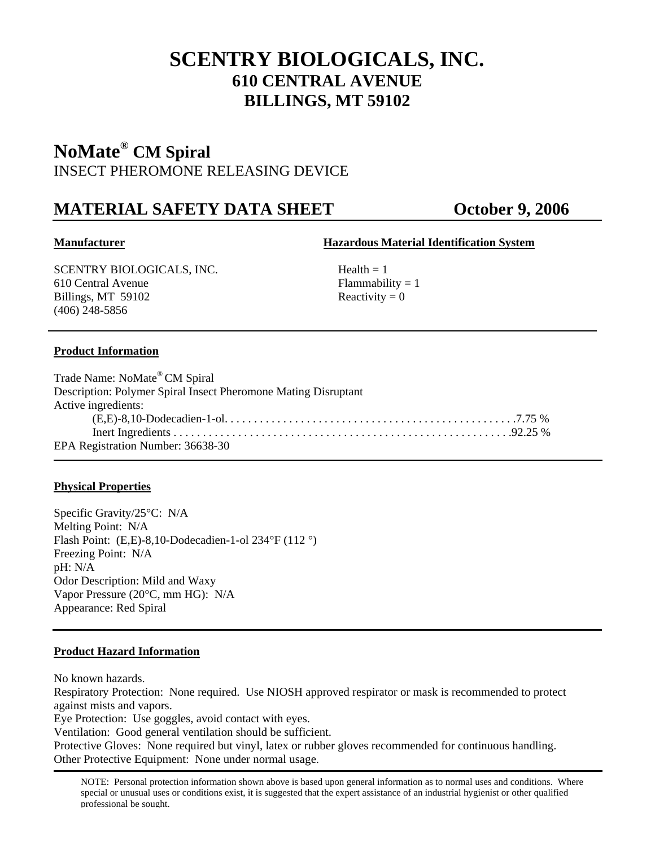# **SCENTRY BIOLOGICALS, INC. 610 CENTRAL AVENUE BILLINGS, MT 59102**

## **NoMate® CM Spiral**  INSECT PHEROMONE RELEASING DEVICE

## **MATERIAL SAFETY DATA SHEET CORPORED October 9, 2006**

### **Manufacturer Hazardous Material Identification System**

 $SCENTRY BIOLOGICALS, INC.$  Health = 1 610 Central Avenue Flammability = 1 Billings, MT 59102 Reactivity = 0 (406) 248-5856

### **Product Information**

| Trade Name: NoMate® CM Spiral                                  |  |
|----------------------------------------------------------------|--|
| Description: Polymer Spiral Insect Pheromone Mating Disruptant |  |
| Active ingredients:                                            |  |
|                                                                |  |
|                                                                |  |
| EPA Registration Number: 36638-30                              |  |

#### **Physical Properties**

Specific Gravity/25°C: N/A Melting Point: N/A Flash Point: (E,E)-8,10-Dodecadien-1-ol 234°F (112 °) Freezing Point: N/A pH: N/A Odor Description: Mild and Waxy Vapor Pressure (20°C, mm HG): N/A Appearance: Red Spiral

#### **Product Hazard Information**

No known hazards.

Respiratory Protection: None required. Use NIOSH approved respirator or mask is recommended to protect against mists and vapors.

Eye Protection: Use goggles, avoid contact with eyes.

Ventilation: Good general ventilation should be sufficient.

Protective Gloves: None required but vinyl, latex or rubber gloves recommended for continuous handling. Other Protective Equipment: None under normal usage.

NOTE: Personal protection information shown above is based upon general information as to normal uses and conditions. Where special or unusual uses or conditions exist, it is suggested that the expert assistance of an industrial hygienist or other qualified professional be sought.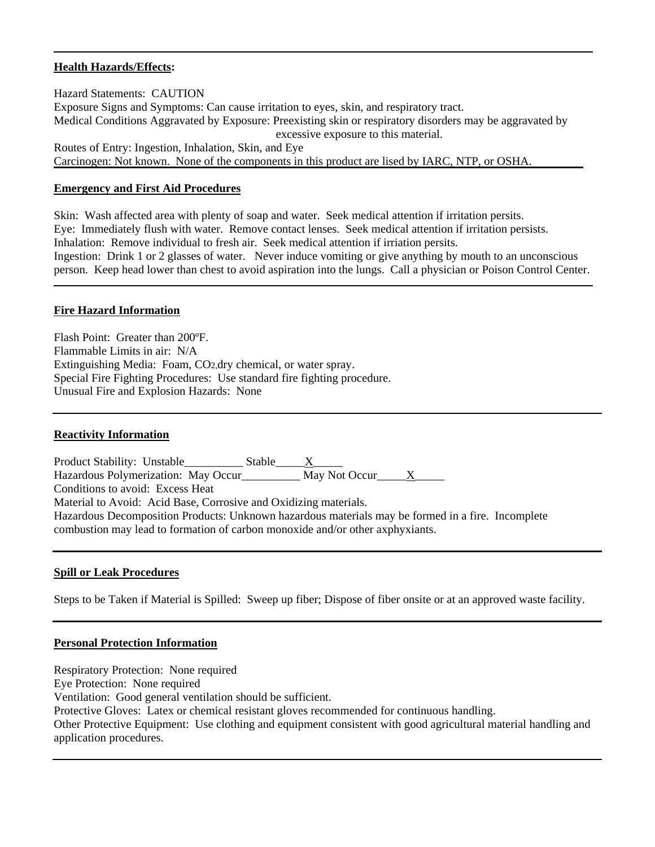#### **Health Hazards/Effects:**

Hazard Statements: CAUTION Exposure Signs and Symptoms: Can cause irritation to eyes, skin, and respiratory tract. Medical Conditions Aggravated by Exposure: Preexisting skin or respiratory disorders may be aggravated by excessive exposure to this material. Routes of Entry: Ingestion, Inhalation, Skin, and Eye Carcinogen: Not known. None of the components in this product are lised by IARC, NTP, or OSHA.

#### **Emergency and First Aid Procedures**

Skin: Wash affected area with plenty of soap and water. Seek medical attention if irritation persits. Eye: Immediately flush with water. Remove contact lenses. Seek medical attention if irritation persists. Inhalation: Remove individual to fresh air. Seek medical attention if irriation persits. Ingestion: Drink 1 or 2 glasses of water. Never induce vomiting or give anything by mouth to an unconscious person. Keep head lower than chest to avoid aspiration into the lungs. Call a physician or Poison Control Center.

#### **Fire Hazard Information**

Flash Point: Greater than 200ºF. Flammable Limits in air: N/A Extinguishing Media: Foam, CO2,dry chemical, or water spray. Special Fire Fighting Procedures: Use standard fire fighting procedure. Unusual Fire and Explosion Hazards: None

#### **Reactivity Information**

Product Stability: Unstable\_\_\_\_\_\_\_\_\_\_\_\_\_\_ Stable\_\_\_\_\_\_<u>X</u>\_\_\_\_\_\_ Hazardous Polymerization: May Occur\_\_\_\_\_\_\_\_\_\_ May Not Occur\_\_\_\_\_X\_\_\_\_\_ Conditions to avoid: Excess Heat Material to Avoid: Acid Base, Corrosive and Oxidizing materials. Hazardous Decomposition Products: Unknown hazardous materials may be formed in a fire. Incomplete combustion may lead to formation of carbon monoxide and/or other axphyxiants.

#### **Spill or Leak Procedures**

Steps to be Taken if Material is Spilled: Sweep up fiber; Dispose of fiber onsite or at an approved waste facility.

#### **Personal Protection Information**

Respiratory Protection: None required Eye Protection: None required Ventilation: Good general ventilation should be sufficient. Protective Gloves: Latex or chemical resistant gloves recommended for continuous handling. Other Protective Equipment: Use clothing and equipment consistent with good agricultural material handling and application procedures.